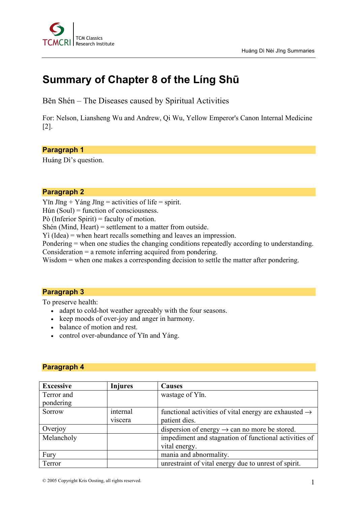# **Summary of Chapter 8 of the Líng Shū**

Bĕn Shén – The Diseases caused by Spiritual Activities

For: Nelson, Liansheng Wu and Andrew, Qi Wu, Yellow Emperor's Canon Internal Medicine [2].

#### **Paragraph 1**

Huáng Dì's question.

#### **Paragraph 2**

Yīn Jīng + Yáng Jīng = activities of life = spirit.

Hún (Soul) = function of consciousness.

Pò (Inferior Spirit) = faculty of motion.

Shén (Mind, Heart) = settlement to a matter from outside.

Yì (Idea) = when heart recalls something and leaves an impression.

Pondering = when one studies the changing conditions repeatedly according to understanding. Consideration = a remote inferring acquired from pondering.

Wisdom = when one makes a corresponding decision to settle the matter after pondering.

### **Paragraph 3**

To preserve health:

- adapt to cold-hot weather agreeably with the four seasons.
- keep moods of over-joy and anger in harmony.
- balance of motion and rest.
- control over-abundance of Y<sub>I</sub>n and Yang.

### **Paragraph 4**

| <b>Excessive</b> | <b>Injures</b> | <b>Causes</b>                                                     |  |
|------------------|----------------|-------------------------------------------------------------------|--|
| Terror and       |                | wastage of Y <sub>I</sub> n.                                      |  |
| pondering        |                |                                                                   |  |
| Sorrow           | internal       | functional activities of vital energy are exhausted $\rightarrow$ |  |
|                  | viscera        | patient dies.                                                     |  |
| Overjoy          |                | dispersion of energy $\rightarrow$ can no more be stored.         |  |
| Melancholy       |                | impediment and stagnation of functional activities of             |  |
|                  |                | vital energy.                                                     |  |
| Fury             |                | mania and abnormality.                                            |  |
| Terror           |                | unrestraint of vital energy due to unrest of spirit.              |  |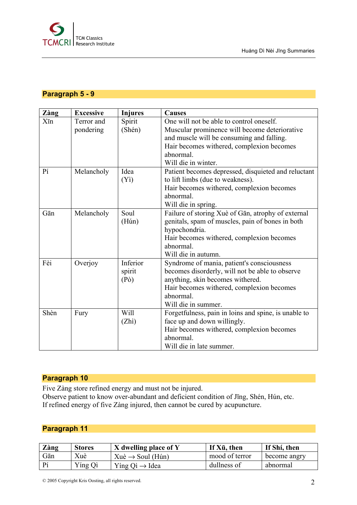

# **Paragraph 5 - 9**

| Zàng | <b>Excessive</b>        | <b>Injures</b>                          | <b>Causes</b>                                                                                                                                                                                                           |
|------|-------------------------|-----------------------------------------|-------------------------------------------------------------------------------------------------------------------------------------------------------------------------------------------------------------------------|
| Xīn  | Terror and<br>pondering | Spirit<br>(Shén)                        | One will not be able to control oneself.<br>Muscular prominence will become deteriorative<br>and muscle will be consuming and falling.<br>Hair becomes withered, complexion becomes<br>abnormal.<br>Will die in winter. |
| Pí   | Melancholy              | Idea<br>(Y <sub>i</sub> )               | Patient becomes depressed, disquieted and reluctant<br>to lift limbs (due to weakness).<br>Hair becomes withered, complexion becomes<br>abnormal.<br>Will die in spring.                                                |
| Gān  | Melancholy              | Soul<br>(Hún)                           | Failure of storing Xuè of Gān, atrophy of external<br>genitals, spam of muscles, pain of bones in both<br>hypochondria.<br>Hair becomes withered, complexion becomes<br>abnormal.<br>Will die in autumn.                |
| Fèi  | Overjoy                 | Inferior<br>spirit<br>(P <sub>o</sub> ) | Syndrome of mania, patient's consciousness<br>becomes disorderly, will not be able to observe<br>anything, skin becomes withered.<br>Hair becomes withered, complexion becomes<br>abnormal.<br>Will die in summer.      |
| Shèn | Fury                    | Will<br>(Zhi)                           | Forgetfulness, pain in loins and spine, is unable to<br>face up and down willingly.<br>Hair becomes withered, complexion becomes<br>abnormal.<br>Will die in late summer.                                               |

# **Paragraph 10**

Five Zàng store refined energy and must not be injured.

Observe patient to know over-abundant and deficient condition of Jīng, Shén, Hún, etc. If refined energy of five Zàng injured, then cannot be cured by acupuncture.

# **Paragraph 11**

| Zàng           | <b>Stores</b> | X dwelling place of Y              | If Xū, then    | If Shí, then |
|----------------|---------------|------------------------------------|----------------|--------------|
| Gān            | Xuè           | $Xu\hat{e} \rightarrow$ Soul (Hún) | mood of terror | become angry |
| $\mathbf{p}_1$ | Ying Qi       | Ying $Qi \rightarrow Idea$         | dullness of    | abnormal     |